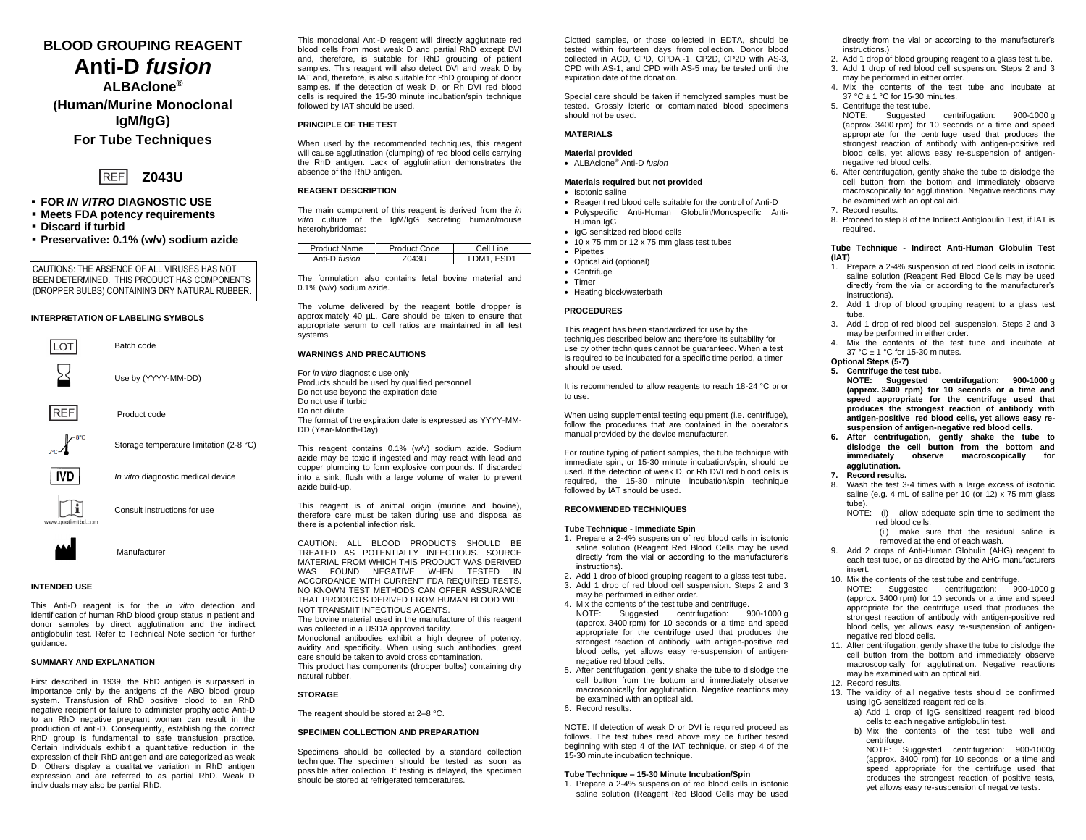# **BLOOD GROUPING REAGENT Anti-D** *fusion*

**ALBAclone® (Human/Murine Monoclonal IgM/IgG) For Tube Techniques**



- **FOR** *IN VITRO* **DIAGNOSTIC USE**
- **Meets FDA potency requirements**
- **Discard if turbid**
- **Preservative: 0.1% (w/v) sodium azide**

CAUTIONS: THE ABSENCE OF ALL VIRUSES HAS NOT BEEN DETERMINED. THIS PRODUCT HAS COMPONENTS (DROPPER BULBS) CONTAINING DRY NATURAL RUBBER.

## **INTERPRETATION OF LABELING SYMBOLS**



**INTENDED USE**

This Anti-D reagent is for the *in vitro* detection and identification of human RhD blood group status in patient and donor samples by direct agglutination and the indirect antiglobulin test. Refer to Technical Note section for further guidance.

## **SUMMARY AND EXPLANATION**

First described in 1939, the RhD antigen is surpassed in importance only by the antigens of the ABO blood group system. Transfusion of RhD positive blood to an RhD negative recipient or failure to administer prophylactic Anti-D to an RhD negative pregnant woman can result in the production of anti-D. Consequently, establishing the correct RhD group is fundamental to safe transfusion practice. Certain individuals exhibit a quantitative reduction in the expression of their RhD antigen and are categorized as weak D. Others display a qualitative variation in RhD antigen expression and are referred to as partial RhD. Weak D individuals may also be partial RhD.

This monoclonal Anti-D reagent will directly agglutinate red blood cells from most weak D and partial RhD except DVI and, therefore, is suitable for RhD grouping of patient samples. This reagent will also detect DVI and weak D by IAT and, therefore, is also suitable for RhD grouping of donor samples. If the detection of weak D, or Rh DVI red blood cells is required the 15-30 minute incubation/spin technique followed by IAT should be used.

## **PRINCIPLE OF THE TEST**

When used by the recommended techniques, this reagent will cause agglutination (clumping) of red blood cells carrying the RhD antigen. Lack of agglutination demonstrates the absence of the RhD antigen.

#### **REAGENT DESCRIPTION**

The main component of this reagent is derived from the *in vitro* culture of the IgM/IgG secreting human/mouse heterohybridomas:

| Product Name  | Product Code | Cell Line       |
|---------------|--------------|-----------------|
| Anti-D fusion | 0431         | DM <sub>1</sub> |

The formulation also contains fetal bovine material and 0.1% (w/v) sodium azide.

The volume delivered by the reagent bottle dropper is approximately 40 µL. Care should be taken to ensure that appropriate serum to cell ratios are maintained in all test systems.

#### **WARNINGS AND PRECAUTIONS**

For *in vitro* diagnostic use only Products should be used by qualified personnel Do not use beyond the expiration date Do not use if turbid Do not dilute The format of the expiration date is expressed as YYYY-MM-DD (Year-Month-Day)

This reagent contains 0.1% (w/v) sodium azide. Sodium azide may be toxic if ingested and may react with lead and copper plumbing to form explosive compounds. If discarded into a sink, flush with a large volume of water to prevent azide build-up.

This reagent is of animal origin (murine and bovine), therefore care must be taken during use and disposal as there is a potential infection risk.

CAUTION: ALL BLOOD PRODUCTS SHOULD BE TREATED AS POTENTIALLY INFECTIOUS. SOURCE MATERIAL FROM WHICH THIS PRODUCT WAS DERIVED WAS FOUND NEGATIVE WHEN TESTED IN ACCORDANCE WITH CURRENT FDA REQUIRED TESTS. NO KNOWN TEST METHODS CAN OFFER ASSURANCE THAT PRODUCTS DERIVED FROM HUMAN BLOOD WILL NOT TRANSMIT INFECTIOUS AGENTS.

The bovine material used in the manufacture of this reagent was collected in a USDA approved facility.

Monoclonal antibodies exhibit a high degree of potency, avidity and specificity. When using such antibodies, great care should be taken to avoid cross contamination*.* This product has components (dropper bulbs) containing dry

natural rubber.

# **STORAGE**

The reagent should be stored at 2–8 °C.

#### **SPECIMEN COLLECTION AND PREPARATION**

Specimens should be collected by a standard collection technique. The specimen should be tested as soon as possible after collection. If testing is delayed, the specimen should be stored at refrigerated temperatures.

Clotted samples, or those collected in EDTA, should be tested within fourteen days from collection. Donor blood collected in ACD, CPD, CPDA -1, CP2D, CP2D with AS-3, CPD with AS-1, and CPD with AS-5 may be tested until the expiration date of the donation.

Special care should be taken if hemolyzed samples must be tested. Grossly icteric or contaminated blood specimens should not be used.

#### **MATERIALS**

#### **Material provided**

• ALBAclone® Anti-D *fusion*

#### **Materials required but not provided**

## • Isotonic saline

- Reagent red blood cells suitable for the control of Anti-D
- Polyspecific Anti-Human Globulin/Monospecific Anti-Human IgG
- IgG sensitized red blood cells
- 10 x 75 mm or 12 x 75 mm glass test tubes
- Pipettes
- Optical aid (optional) • Centrifuge
- Timer
	- Heating block/waterbath
	-

# **PROCEDURES**

This reagent has been standardized for use by the techniques described below and therefore its suitability for use by other techniques cannot be guaranteed. When a test is required to be incubated for a specific time period, a timer should be used.

It is recommended to allow reagents to reach 18-24 °C prior to use.

When using supplemental testing equipment (i.e. centrifuge), follow the procedures that are contained in the operator's manual provided by the device manufacturer.

For routine typing of patient samples, the tube technique with immediate spin, or 15-30 minute incubation/spin, should be used. If the detection of weak D, or Rh DVI red blood cells is required, the 15-30 minute incubation/spin technique followed by IAT should be used.

#### **RECOMMENDED TECHNIQUES**

#### **Tube Technique - Immediate Spin**

- 1. Prepare a 2-4% suspension of red blood cells in isotonic saline solution (Reagent Red Blood Cells may be used directly from the vial or according to the manufacturer's instructions).
- 2. Add 1 drop of blood grouping reagent to a glass test tube. 3. Add 1 drop of red blood cell suspension. Steps 2 and 3
- may be performed in either order.
- 4. Mix the contents of the test tube and centrifuge.<br>NOTE: Suggested centrifugation: 900-1000 g NOTE: Suggested centrifugation:  $($ approx. 3400 rpm) for 10 seconds or a time and speed appropriate for the centrifuge used that produces the strongest reaction of antibody with antigen-positive red blood cells, yet allows easy re-suspension of antigennegative red blood cells.
- 5. After centrifugation, gently shake the tube to dislodge the cell button from the bottom and immediately observe macroscopically for agglutination. Negative reactions may be examined with an optical aid.
- 6. Record results.

NOTE: If detection of weak D or DVI is required proceed as follows. The test tubes read above may be further tested beginning with step 4 of the IAT technique, or step 4 of the 15-30 minute incubation technique.

## **Tube Technique – 15-30 Minute Incubation/Spin**

1. Prepare a 2-4% suspension of red blood cells in isotonic saline solution (Reagent Red Blood Cells may be used directly from the vial or according to the manufacturer's instructions.)

- 2. Add 1 drop of blood grouping reagent to a glass test tube. 3. Add 1 drop of red blood cell suspension. Steps 2 and 3
- may be performed in either order. 4. Mix the contents of the test tube and incubate at
- 37 °C ± 1 °C for 15-30 minutes.
- 5. Centrifuge the test tube.<br>NOTE: Suggested centrifugation: 900-1000 g (approx. 3400 rpm) for 10 seconds or a time and speed appropriate for the centrifuge used that produces the strongest reaction of antibody with antigen-positive red blood cells, yet allows easy re-suspension of antigennegative red blood cells.
- 6. After centrifugation, gently shake the tube to dislodge the cell button from the bottom and immediately observe macroscopically for agglutination. Negative reactions may be examined with an optical aid.
- 7. Record results.
- 8. Proceed to step 8 of the Indirect Antiglobulin Test, if IAT is required.

#### **Tube Technique - Indirect Anti-Human Globulin Test (IAT)**

- 1. Prepare a 2-4% suspension of red blood cells in isotonic saline solution (Reagent Red Blood Cells may be used directly from the vial or according to the manufacturer's instructions).
- 2. Add 1 drop of blood grouping reagent to a glass test tube.
- 3. Add 1 drop of red blood cell suspension. Steps 2 and 3 may be performed in either order.
- 4. Mix the contents of the test tube and incubate at 37 °C ± 1 °C for 15-30 minutes.
- **Optional Steps (5-7)**

**5. Centrifuge the test tube. NOTE: Suggested centrifugation: 900-1000 g (approx. 3400 rpm) for 10 seconds or a time and speed appropriate for the centrifuge used that produces the strongest reaction of antibody with antigen-positive red blood cells, yet allows easy resuspension of antigen-negative red blood cells.**

- **6. After centrifugation, gently shake the tube to dislodge the cell button from the bottom and immediately observe macroscopically for agglutination.**
- **7. Record results.**
- Wash the test 3-4 times with a large excess of isotonic saline (e.g. 4 mL of saline per 10 (or 12) x 75 mm glass tube).
- NOTE: (i) allow adequate spin time to sediment the red blood cells.

(ii) make sure that the residual saline is removed at the end of each wash.

- 9. Add 2 drops of Anti-Human Globulin (AHG) reagent to each test tube, or as directed by the AHG manufacturers insert.
- 10. Mix the contents of the test tube and centrifuge. NOTE: Suggested centrifugation: 900-1000 g (approx. 3400 rpm) for 10 seconds or a time and speed appropriate for the centrifuge used that produces the strongest reaction of antibody with antigen-positive red blood cells, yet allows easy re-suspension of antigennegative red blood cells.
- 11. After centrifugation, gently shake the tube to dislodge the cell button from the bottom and immediately observe macroscopically for agglutination. Negative reactions may be examined with an optical aid. 12. Record results.
- 13. The validity of all negative tests should be confirmed using IgG sensitized reagent red cells.
	- a) Add 1 drop of IgG sensitized reagent red blood cells to each negative antiglobulin test.
	- b) Mix the contents of the test tube well and centrifuge.
	- NOTE: Suggested centrifugation: 900-1000g (approx.  $3400$  rpm) for 10 seconds or a time and speed appropriate for the centrifuge used that produces the strongest reaction of positive tests, yet allows easy re-suspension of negative tests.